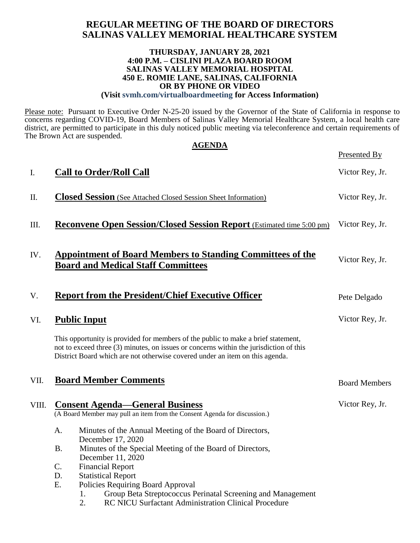# **REGULAR MEETING OF THE BOARD OF DIRECTORS SALINAS VALLEY MEMORIAL HEALTHCARE SYSTEM**

#### **THURSDAY, JANUARY 28, 2021 4:00 P.M. – CISLINI PLAZA BOARD ROOM SALINAS VALLEY MEMORIAL HOSPITAL 450 E. ROMIE LANE, SALINAS, CALIFORNIA OR BY PHONE OR VIDEO**

**(Visit svmh.com/virtualboardmeeting for Access Information)**

Please note: Pursuant to Executive Order N-25-20 issued by the Governor of the State of California in response to concerns regarding COVID-19, Board Members of Salinas Valley Memorial Healthcare System, a local health care district, are permitted to participate in this duly noticed public meeting via teleconference and certain requirements of The Brown Act are suspended. **AGENDA**

|       |                              | AULIVLA                                                                                                                                                                                                                                                     | Presented By         |
|-------|------------------------------|-------------------------------------------------------------------------------------------------------------------------------------------------------------------------------------------------------------------------------------------------------------|----------------------|
| I.    |                              | <b>Call to Order/Roll Call</b>                                                                                                                                                                                                                              | Victor Rey, Jr.      |
| П.    |                              | <b>Closed Session</b> (See Attached Closed Session Sheet Information)                                                                                                                                                                                       | Victor Rey, Jr.      |
| III.  |                              | <b>Reconvene Open Session/Closed Session Report</b> (Estimated time 5:00 pm)                                                                                                                                                                                | Victor Rey, Jr.      |
| IV.   |                              | <b>Appointment of Board Members to Standing Committees of the</b><br><b>Board and Medical Staff Committees</b>                                                                                                                                              | Victor Rey, Jr.      |
| V.    |                              | <b>Report from the President/Chief Executive Officer</b>                                                                                                                                                                                                    | Pete Delgado         |
| VI.   |                              | <b>Public Input</b>                                                                                                                                                                                                                                         | Victor Rey, Jr.      |
|       |                              | This opportunity is provided for members of the public to make a brief statement,<br>not to exceed three (3) minutes, on issues or concerns within the jurisdiction of this<br>District Board which are not otherwise covered under an item on this agenda. |                      |
| VII.  | <b>Board Member Comments</b> |                                                                                                                                                                                                                                                             | <b>Board Members</b> |
| VIII. |                              | <b>Consent Agenda—General Business</b><br>(A Board Member may pull an item from the Consent Agenda for discussion.)                                                                                                                                         | Victor Rey, Jr.      |
|       | Α.                           | Minutes of the Annual Meeting of the Board of Directors,                                                                                                                                                                                                    |                      |
|       | <b>B.</b>                    | December 17, 2020<br>Minutes of the Special Meeting of the Board of Directors,<br>December 11, 2020                                                                                                                                                         |                      |
|       | $\mathsf{C}$ .               | <b>Financial Report</b>                                                                                                                                                                                                                                     |                      |
|       | D.                           | <b>Statistical Report</b>                                                                                                                                                                                                                                   |                      |
|       | E.                           | Policies Requiring Board Approval                                                                                                                                                                                                                           |                      |
|       |                              | Group Beta Streptococcus Perinatal Screening and Management<br>1.                                                                                                                                                                                           |                      |
|       |                              | 2.<br>RC NICU Surfactant Administration Clinical Procedure                                                                                                                                                                                                  |                      |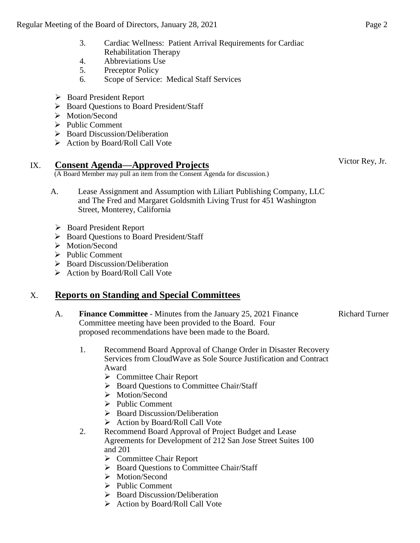- 3. Cardiac Wellness: Patient Arrival Requirements for Cardiac Rehabilitation Therapy
- 4. Abbreviations Use
- 5. Preceptor Policy
- 6. Scope of Service: Medical Staff Services
- Board President Report
- ▶ Board Ouestions to Board President/Staff
- > Motion/Second
- $\triangleright$  Public Comment
- $\triangleright$  Board Discussion/Deliberation
- $\triangleright$  Action by Board/Roll Call Vote

## IX. **Consent Agenda—Approved Projects**

(A Board Member may pull an item from the Consent Agenda for discussion.)

- A. Lease Assignment and Assumption with Liliart Publishing Company, LLC and The Fred and Margaret Goldsmith Living Trust for 451 Washington Street, Monterey, California
	- Board President Report
- ▶ Board Questions to Board President/Staff
- > Motion/Second
- $\triangleright$  Public Comment
- $\triangleright$  Board Discussion/Deliberation
- $\triangleright$  Action by Board/Roll Call Vote

# X. **Reports on Standing and Special Committees**

- A. **Finance Committee** Minutes from the January 25, 2021 Finance Committee meeting have been provided to the Board. Four proposed recommendations have been made to the Board.
- Richard Turner
- 1. Recommend Board Approval of Change Order in Disaster Recovery Services from CloudWave as Sole Source Justification and Contract Award
	- **►** Committee Chair Report
	- $\triangleright$  Board Ouestions to Committee Chair/Staff
	- > Motion/Second
	- $\triangleright$  Public Comment
	- $\triangleright$  Board Discussion/Deliberation
	- $\triangleright$  Action by Board/Roll Call Vote
- 2. Recommend Board Approval of Project Budget and Lease Agreements for Development of 212 San Jose Street Suites 100 and 201
	- **►** Committee Chair Report
	- ▶ Board Questions to Committee Chair/Staff
	- > Motion/Second
	- $\triangleright$  Public Comment
	- $\triangleright$  Board Discussion/Deliberation
	- $\triangleright$  Action by Board/Roll Call Vote

Victor Rey, Jr.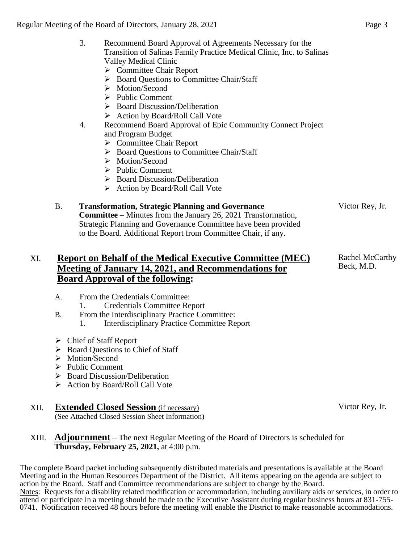#### 3. Recommend Board Approval of Agreements Necessary for the Transition of Salinas Family Practice Medical Clinic, Inc. to Salinas Valley Medical Clinic

- **►** Committee Chair Report
- ▶ Board Questions to Committee Chair/Staff
- > Motion/Second
- $\triangleright$  Public Comment
- $\triangleright$  Board Discussion/Deliberation
- Action by Board/Roll Call Vote
- 4. Recommend Board Approval of Epic Community Connect Project and Program Budget
	- $\triangleright$  Committee Chair Report
	- ▶ Board Ouestions to Committee Chair/Staff
	- > Motion/Second
	- $\triangleright$  Public Comment
	- $\triangleright$  Board Discussion/Deliberation
	- $\triangleright$  Action by Board/Roll Call Vote

#### B. **Transformation, Strategic Planning and Governance**

**Committee –** Minutes from the January 26, 2021 Transformation, Strategic Planning and Governance Committee have been provided to the Board. Additional Report from Committee Chair, if any.

## XI. **Report on Behalf of the Medical Executive Committee (MEC) Meeting of January 14, 2021, and Recommendations for Board Approval of the following:**

- A. From the Credentials Committee:
	- 1. Credentials Committee Report
- B. From the Interdisciplinary Practice Committee:
	- 1. Interdisciplinary Practice Committee Report
- Chief of Staff Report
- $\triangleright$  Board Questions to Chief of Staff
- > Motion/Second
- $\triangleright$  Public Comment
- $\triangleright$  Board Discussion/Deliberation
- $\triangleright$  Action by Board/Roll Call Vote

# XII. **Extended Closed Session** (if necessary)

(See Attached Closed Session Sheet Information)

#### XIII. **Adjournment** – The next Regular Meeting of the Board of Directors is scheduled for **Thursday, February 25, 2021,** at 4:00 p.m.

The complete Board packet including subsequently distributed materials and presentations is available at the Board Meeting and in the Human Resources Department of the District. All items appearing on the agenda are subject to action by the Board. Staff and Committee recommendations are subject to change by the Board. Notes: Requests for a disability related modification or accommodation, including auxiliary aids or services, in order to attend or participate in a meeting should be made to the Executive Assistant during regular business hours at 831-755- 0741. Notification received 48 hours before the meeting will enable the District to make reasonable accommodations.

Victor Rey, Jr.

Rachel McCarthy Beck, M.D.

Victor Rey, Jr.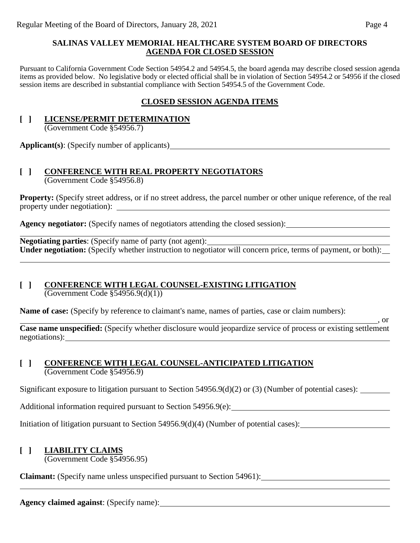#### **SALINAS VALLEY MEMORIAL HEALTHCARE SYSTEM BOARD OF DIRECTORS AGENDA FOR CLOSED SESSION**

Pursuant to California Government Code Section 54954.2 and 54954.5, the board agenda may describe closed session agenda items as provided below. No legislative body or elected official shall be in violation of Section 54954.2 or 54956 if the closed session items are described in substantial compliance with Section 54954.5 of the Government Code.

## **CLOSED SESSION AGENDA ITEMS**

#### **[ ] LICENSE/PERMIT DETERMINATION** (Government Code §54956.7)

**Applicant(s)**: (Specify number of applicants)

# **[ ] CONFERENCE WITH REAL PROPERTY NEGOTIATORS**

(Government Code §54956.8)

**Property:** (Specify street address, or if no street address, the parcel number or other unique reference, of the real property under negotiation):

Agency negotiator: (Specify names of negotiators attending the closed session): <u>\_\_\_\_\_\_\_\_\_\_\_\_\_\_\_\_\_\_\_\_\_\_\_\_\_\_\_\_\_\_\_\_</u>

**Negotiating parties**: (Specify name of party (not agent): Under negotiation: (Specify whether instruction to negotiator will concern price, terms of payment, or both):

#### **[ ] CONFERENCE WITH LEGAL COUNSEL-EXISTING LITIGATION**

(Government Code §54956.9(d)(1))

**Name of case:** (Specify by reference to claimant's name, names of parties, case or claim numbers):

**Case name unspecified:** (Specify whether disclosure would jeopardize service of process or existing settlement negotiations):

#### **[ ] CONFERENCE WITH LEGAL COUNSEL-ANTICIPATED LITIGATION** (Government Code §54956.9)

Significant exposure to litigation pursuant to Section 54956.9(d)(2) or (3) (Number of potential cases):

Additional information required pursuant to Section 54956.9(e):

Initiation of litigation pursuant to Section 54956.9(d)(4) (Number of potential cases):

# **[ ] LIABILITY CLAIMS**

(Government Code §54956.95)

**Claimant:** (Specify name unless unspecified pursuant to Section 54961):

**Agency claimed against**: (Specify name):

 $\overline{\phantom{a}}$ , or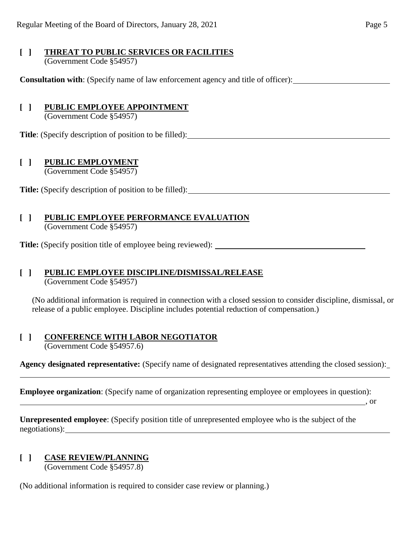#### **[ ] THREAT TO PUBLIC SERVICES OR FACILITIES** (Government Code §54957)

**Consultation with**: (Specify name of law enforcement agency and title of officer):

## **[ ] PUBLIC EMPLOYEE APPOINTMENT**

(Government Code §54957)

**Title**: (Specify description of position to be filled):

## **[ ] PUBLIC EMPLOYMENT**

(Government Code §54957)

Title: (Specify description of position to be filled):

# **[ ] PUBLIC EMPLOYEE PERFORMANCE EVALUATION**

(Government Code §54957)

**Title:** (Specify position title of employee being reviewed):

# **[ ] PUBLIC EMPLOYEE DISCIPLINE/DISMISSAL/RELEASE**

(Government Code §54957)

(No additional information is required in connection with a closed session to consider discipline, dismissal, or release of a public employee. Discipline includes potential reduction of compensation.)

# **[ ] CONFERENCE WITH LABOR NEGOTIATOR**

(Government Code §54957.6)

**Agency designated representative:** (Specify name of designated representatives attending the closed session): l

**Employee organization**: (Specify name of organization representing employee or employees in question):

, or  $\sim$  , or

**Unrepresented employee**: (Specify position title of unrepresented employee who is the subject of the negotiations):

# **[ ] CASE REVIEW/PLANNING**

(Government Code §54957.8)

(No additional information is required to consider case review or planning.)